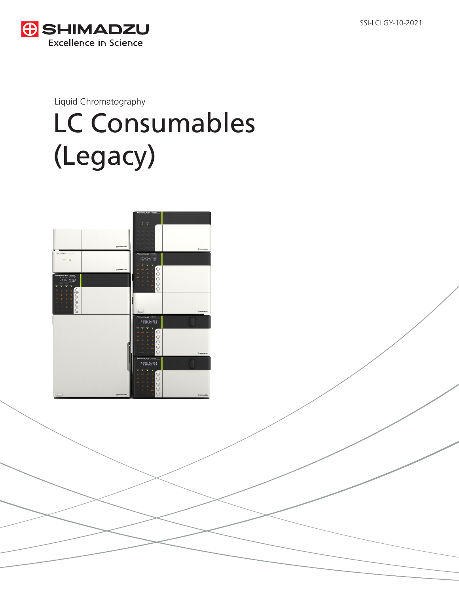SSI-LCLGY-10-2021



Liquid Chromatography

# LC Consumables (Legacy)

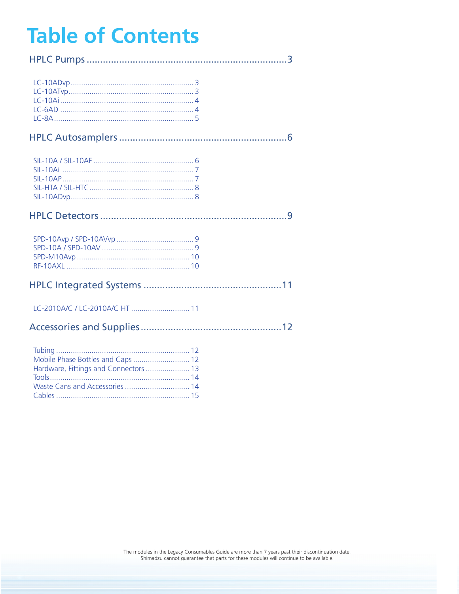# <span id="page-1-0"></span>**Table of Contents**

Hardware, Fittings and Connectors ..................... 13 Waste Cans and Accessories ................................... 14 

| Mobile Phase Bottles and Caps  12 |  |
|-----------------------------------|--|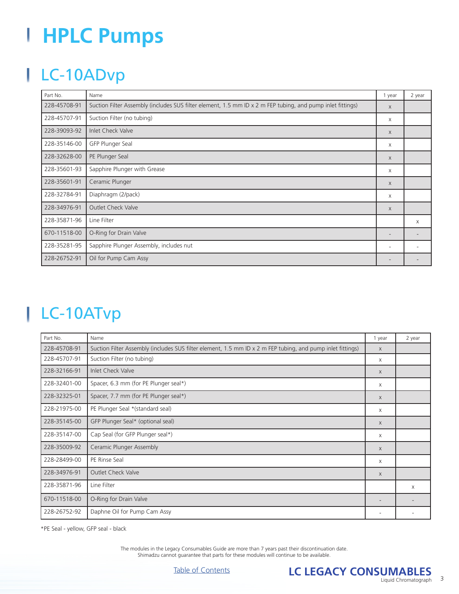# <span id="page-2-0"></span>**HPLC Pumps**

# LC-10ADvp

| Part No.     | Name                                                                                                       | 1 year                   | 2 year |
|--------------|------------------------------------------------------------------------------------------------------------|--------------------------|--------|
| 228-45708-91 | Suction Filter Assembly (includes SUS filter element, 1.5 mm ID x 2 m FEP tubing, and pump inlet fittings) | $\mathsf{X}$             |        |
| 228-45707-91 | Suction Filter (no tubing)                                                                                 | $\times$                 |        |
| 228-39093-92 | Inlet Check Valve                                                                                          | $\times$                 |        |
| 228-35146-00 | GFP Plunger Seal                                                                                           | Χ                        |        |
| 228-32628-00 | PE Plunger Seal                                                                                            | $\times$                 |        |
| 228-35601-93 | Sapphire Plunger with Grease                                                                               | Χ                        |        |
| 228-35601-91 | Ceramic Plunger                                                                                            | X                        |        |
| 228-32784-91 | Diaphragm (2/pack)                                                                                         | $\times$                 |        |
| 228-34976-91 | <b>Outlet Check Valve</b>                                                                                  | $\times$                 |        |
| 228-35871-96 | Line Filter                                                                                                |                          | X      |
| 670-11518-00 | O-Ring for Drain Valve                                                                                     | $\overline{\phantom{0}}$ |        |
| 228-35281-95 | Sapphire Plunger Assembly, includes nut                                                                    | $\overline{\phantom{a}}$ |        |
| 228-26752-91 | Oil for Pump Cam Assy                                                                                      |                          |        |

## LC-10ATvp

| Part No.     | Name                                                                                                       | 1 year | 2 year |
|--------------|------------------------------------------------------------------------------------------------------------|--------|--------|
| 228-45708-91 | Suction Filter Assembly (includes SUS filter element, 1.5 mm ID x 2 m FEP tubing, and pump inlet fittings) |        |        |
| 228-45707-91 | Suction Filter (no tubing)                                                                                 | Χ      |        |
| 228-32166-91 | Inlet Check Valve                                                                                          | X      |        |
| 228-32401-00 | Spacer, 6.3 mm (for PE Plunger seal*)                                                                      | X      |        |
| 228-32325-01 | Spacer, 7.7 mm (for PE Plunger seal*)                                                                      | X      |        |
| 228-21975-00 | PE Plunger Seal *(standard seal)                                                                           | Χ      |        |
| 228-35145-00 | GFP Plunger Seal* (optional seal)                                                                          | X      |        |
| 228-35147-00 | Cap Seal (for GFP Plunger seal*)                                                                           | Χ      |        |
| 228-35009-92 | Ceramic Plunger Assembly                                                                                   | X      |        |
| 228-28499-00 | PE Rinse Seal                                                                                              | Χ      |        |
| 228-34976-91 | <b>Outlet Check Valve</b>                                                                                  | X      |        |
| 228-35871-96 | Line Filter                                                                                                |        | X      |
| 670-11518-00 | O-Ring for Drain Valve                                                                                     |        |        |
| 228-26752-92 | Daphne Oil for Pump Cam Assy                                                                               |        |        |

\*PE Seal - yellow, GFP seal - black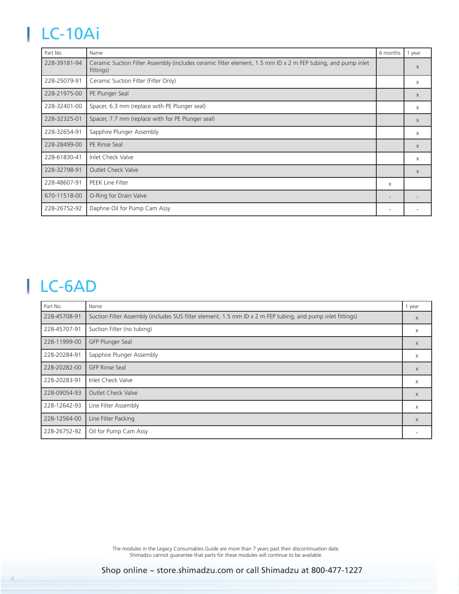# <span id="page-3-0"></span>LC-10Ai

| Part No.     | Name                                                                                                                      | 6 months | 1 year   |
|--------------|---------------------------------------------------------------------------------------------------------------------------|----------|----------|
| 228-39181-94 | Ceramic Suction Filter Assembly (includes ceramic filter element, 1.5 mm ID x 2 m FEP tubing, and pump inlet<br>fittings) |          | $\times$ |
| 228-25079-91 | Ceramic Suction Filter (Filter Only)                                                                                      |          | X        |
| 228-21975-00 | PE Plunger Seal                                                                                                           |          | $\times$ |
| 228-32401-00 | Spacer, 6.3 mm (replace with PE Plunger seal)                                                                             |          | X        |
| 228-32325-01 | Spacer, 7.7 mm (replace with for PE Plunger seal)                                                                         |          | $\times$ |
| 228-32654-91 | Sapphire Plunger Assembly                                                                                                 |          | X        |
| 228-28499-00 | PE Rinse Seal                                                                                                             |          | X        |
| 228-61830-41 | Inlet Check Valve                                                                                                         |          | X        |
| 228-32798-91 | <b>Outlet Check Valve</b>                                                                                                 |          | $\times$ |
| 228-48607-91 | PEEK Line Filter                                                                                                          | X        |          |
| 670-11518-00 | O-Ring for Drain Valve                                                                                                    |          |          |
| 228-26752-92 | Daphne Oil for Pump Cam Assy                                                                                              |          |          |

## LC-6AD

| Part No.     | Name                                                                                                       | 1 year       |
|--------------|------------------------------------------------------------------------------------------------------------|--------------|
| 228-45708-91 | Suction Filter Assembly (includes SUS filter element, 1.5 mm ID x 2 m FEP tubing, and pump inlet fittings) | $\chi$       |
| 228-45707-91 | Suction Filter (no tubing)                                                                                 | X            |
| 228-11999-00 | GFP Plunger Seal                                                                                           | X            |
| 228-20284-91 | Sapphire Plunger Assembly                                                                                  | $\times$     |
| 228-20282-00 | <b>GFP Rinse Seal</b>                                                                                      | $\mathsf{X}$ |
| 228-20283-91 | Inlet Check Valve                                                                                          | $\times$     |
| 228-09054-93 | <b>Outlet Check Valve</b>                                                                                  | $\times$     |
| 228-12642-93 | Line Filter Assembly                                                                                       | X            |
| 228-12564-00 | Line Filter Packing                                                                                        | X            |
| 228-26752-92 | Oil for Pump Cam Assy                                                                                      |              |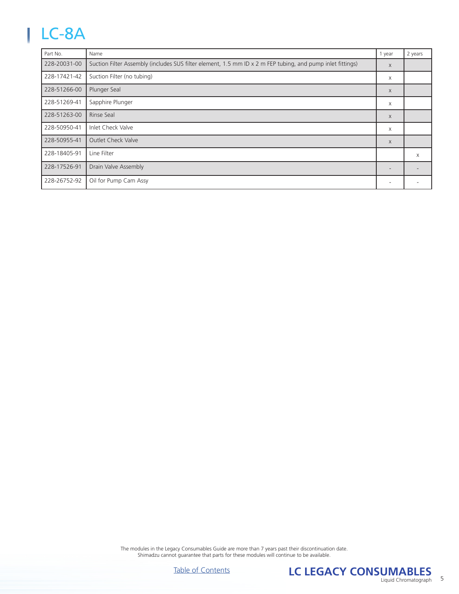# <span id="page-4-0"></span>LC-8A

| Part No.     | Name                                                                                                       | 1 year       | 2 years |
|--------------|------------------------------------------------------------------------------------------------------------|--------------|---------|
| 228-20031-00 | Suction Filter Assembly (includes SUS filter element, 1.5 mm ID x 2 m FEP tubing, and pump inlet fittings) | $\mathsf{X}$ |         |
| 228-17421-42 | Suction Filter (no tubing)                                                                                 | X            |         |
| 228-51266-00 | Plunger Seal                                                                                               | $\mathsf{X}$ |         |
| 228-51269-41 | Sapphire Plunger                                                                                           | X            |         |
| 228-51263-00 | Rinse Seal                                                                                                 | X            |         |
| 228-50950-41 | Inlet Check Valve                                                                                          | X            |         |
| 228-50955-41 | <b>Outlet Check Valve</b>                                                                                  | $\chi$       |         |
| 228-18405-91 | Line Filter                                                                                                |              | X       |
| 228-17526-91 | Drain Valve Assembly                                                                                       |              |         |
| 228-26752-92 | Oil for Pump Cam Assy                                                                                      |              |         |



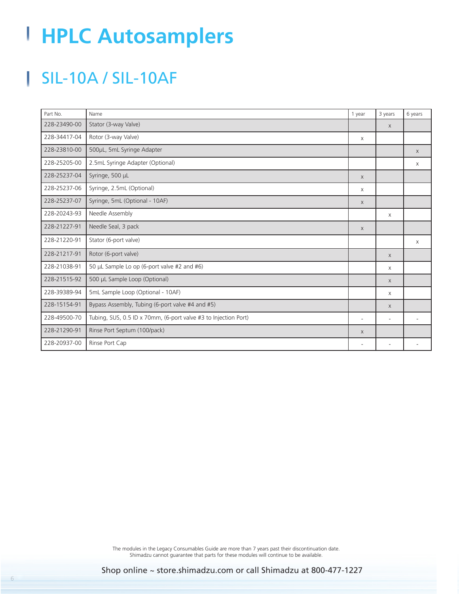# <span id="page-5-0"></span>**HPLC Autosamplers**

# SIL-10A / SIL-10AF

| Part No.     | Name                                                            | 1 year                   | 3 years                  | 6 years  |
|--------------|-----------------------------------------------------------------|--------------------------|--------------------------|----------|
| 228-23490-00 | Stator (3-way Valve)                                            |                          | $\mathsf{X}$             |          |
| 228-34417-04 | Rotor (3-way Valve)                                             | $\mathsf{X}$             |                          |          |
| 228-23810-00 | 500µL, 5mL Syringe Adapter                                      |                          |                          | $\chi$   |
| 228-25205-00 | 2.5mL Syringe Adapter (Optional)                                |                          |                          | $\times$ |
| 228-25237-04 | Syringe, 500 µL                                                 | $\chi$                   |                          |          |
| 228-25237-06 | Syringe, 2.5mL (Optional)                                       | X                        |                          |          |
| 228-25237-07 | Syringe, 5mL (Optional - 10AF)                                  | $\chi$                   |                          |          |
| 228-20243-93 | Needle Assembly                                                 |                          | $\times$                 |          |
| 228-21227-91 | Needle Seal, 3 pack                                             | $\chi$                   |                          |          |
| 228-21220-91 | Stator (6-port valve)                                           |                          |                          | $\times$ |
| 228-21217-91 | Rotor (6-port valve)                                            |                          | $\times$                 |          |
| 228-21038-91 | 50 µL Sample Lo op (6-port valve #2 and #6)                     |                          | $\mathsf{X}$             |          |
| 228-21515-92 | 500 µL Sample Loop (Optional)                                   |                          | $\times$                 |          |
| 228-39389-94 | 5mL Sample Loop (Optional - 10AF)                               |                          | $\times$                 |          |
| 228-15154-91 | Bypass Assembly, Tubing (6-port valve #4 and #5)                |                          | $\times$                 |          |
| 228-49500-70 | Tubing, SUS, 0.5 ID x 70mm, (6-port valve #3 to Injection Port) | $\overline{\phantom{0}}$ | $\overline{\phantom{a}}$ |          |
| 228-21290-91 | Rinse Port Septum (100/pack)                                    | $\chi$                   |                          |          |
| 228-20937-00 | Rinse Port Cap                                                  |                          |                          |          |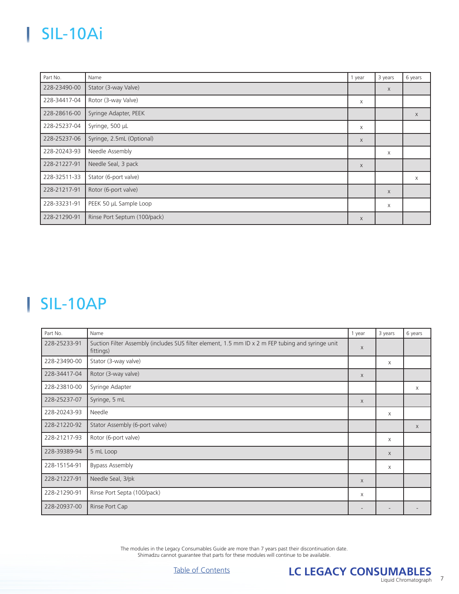## <span id="page-6-0"></span>SIL-10Ai

| Part No.     | Name                         | 1 year | 3 years | 6 years     |
|--------------|------------------------------|--------|---------|-------------|
| 228-23490-00 | Stator (3-way Valve)         |        | X       |             |
| 228-34417-04 | Rotor (3-way Valve)          | X      |         |             |
| 228-28616-00 | Syringe Adapter, PEEK        |        |         | $\mathsf X$ |
| 228-25237-04 | Syringe, 500 µL              | X      |         |             |
| 228-25237-06 | Syringe, 2.5mL (Optional)    | X      |         |             |
| 228-20243-93 | Needle Assembly              |        | X       |             |
| 228-21227-91 | Needle Seal, 3 pack          | X      |         |             |
| 228-32511-33 | Stator (6-port valve)        |        |         | X           |
| 228-21217-91 | Rotor (6-port valve)         |        | X       |             |
| 228-33231-91 | PEEK 50 µL Sample Loop       |        | X       |             |
| 228-21290-91 | Rinse Port Septum (100/pack) | X      |         |             |

### SIL-10AP

| Part No.     | Name                                                                                                           | 1 year       | 3 years                  | 6 years      |
|--------------|----------------------------------------------------------------------------------------------------------------|--------------|--------------------------|--------------|
| 228-25233-91 | Suction Filter Assembly (includes SUS filter element, 1.5 mm ID x 2 m FEP tubing and syringe unit<br>fittings) | X            |                          |              |
| 228-23490-00 | Stator (3-way valve)                                                                                           |              | $\times$                 |              |
| 228-34417-04 | Rotor (3-way valve)                                                                                            | X            |                          |              |
| 228-23810-00 | Syringe Adapter                                                                                                |              |                          | X            |
| 228-25237-07 | Syringe, 5 mL                                                                                                  | X            |                          |              |
| 228-20243-93 | Needle                                                                                                         |              | $\times$                 |              |
| 228-21220-92 | Stator Assembly (6-port valve)                                                                                 |              |                          | $\mathsf{X}$ |
| 228-21217-93 | Rotor (6-port valve)                                                                                           |              | $\times$                 |              |
| 228-39389-94 | 5 mL Loop                                                                                                      |              | $\chi$                   |              |
| 228-15154-91 | <b>Bypass Assembly</b>                                                                                         |              | $\times$                 |              |
| 228-21227-91 | Needle Seal, 3/pk                                                                                              | $\mathsf{X}$ |                          |              |
| 228-21290-91 | Rinse Port Septa (100/pack)                                                                                    | X            |                          |              |
| 228-20937-00 | Rinse Port Cap                                                                                                 | -            | $\overline{\phantom{a}}$ |              |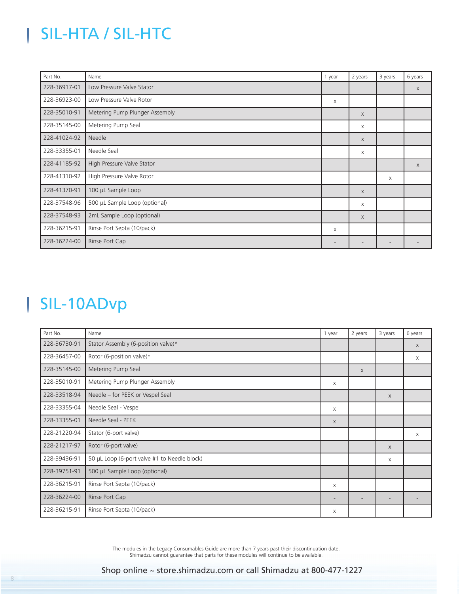# SIL-HTA / SIL-HTC

<span id="page-7-0"></span>I

| Part No.     | Name                           | 1 year                   | 2 years      | 3 years | 6 years      |
|--------------|--------------------------------|--------------------------|--------------|---------|--------------|
| 228-36917-01 | Low Pressure Valve Stator      |                          |              |         | $\mathsf{X}$ |
| 228-36923-00 | Low Pressure Valve Rotor       | X                        |              |         |              |
| 228-35010-91 | Metering Pump Plunger Assembly |                          | $\mathsf{X}$ |         |              |
| 228-35145-00 | Metering Pump Seal             |                          | X            |         |              |
| 228-41024-92 | Needle                         |                          | $\mathsf X$  |         |              |
| 228-33355-01 | Needle Seal                    |                          | X            |         |              |
| 228-41185-92 | High Pressure Valve Stator     |                          |              |         | X            |
| 228-41310-92 | High Pressure Valve Rotor      |                          |              | X       |              |
| 228-41370-91 | 100 µL Sample Loop             |                          | $\chi$       |         |              |
| 228-37548-96 | 500 µL Sample Loop (optional)  |                          | X            |         |              |
| 228-37548-93 | 2mL Sample Loop (optional)     |                          | $\chi$       |         |              |
| 228-36215-91 | Rinse Port Septa (10/pack)     | Χ                        |              |         |              |
| 228-36224-00 | Rinse Port Cap                 | $\overline{\phantom{a}}$ |              |         |              |

### SIL-10ADvp

| Part No.     | Name                                         | 1 year                   | 2 years | 3 years  | 6 years  |
|--------------|----------------------------------------------|--------------------------|---------|----------|----------|
| 228-36730-91 | Stator Assembly (6-position valve)*          |                          |         |          | $\times$ |
| 228-36457-00 | Rotor (6-position valve)*                    |                          |         |          | X        |
| 228-35145-00 | Metering Pump Seal                           |                          | X       |          |          |
| 228-35010-91 | Metering Pump Plunger Assembly               | X                        |         |          |          |
| 228-33518-94 | Needle - for PEEK or Vespel Seal             |                          |         | $\times$ |          |
| 228-33355-04 | Needle Seal - Vespel                         | X                        |         |          |          |
| 228-33355-01 | Needle Seal - PEEK                           | X                        |         |          |          |
| 228-21220-94 | Stator (6-port valve)                        |                          |         |          | $\times$ |
| 228-21217-97 | Rotor (6-port valve)                         |                          |         | $\times$ |          |
| 228-39436-91 | 50 µL Loop (6-port valve #1 to Needle block) |                          |         | $\times$ |          |
| 228-39751-91 | 500 µL Sample Loop (optional)                |                          |         |          |          |
| 228-36215-91 | Rinse Port Septa (10/pack)                   | X                        |         |          |          |
| 228-36224-00 | Rinse Port Cap                               | $\overline{\phantom{a}}$ |         |          |          |
| 228-36215-91 | Rinse Port Septa (10/pack)                   | Χ                        |         |          |          |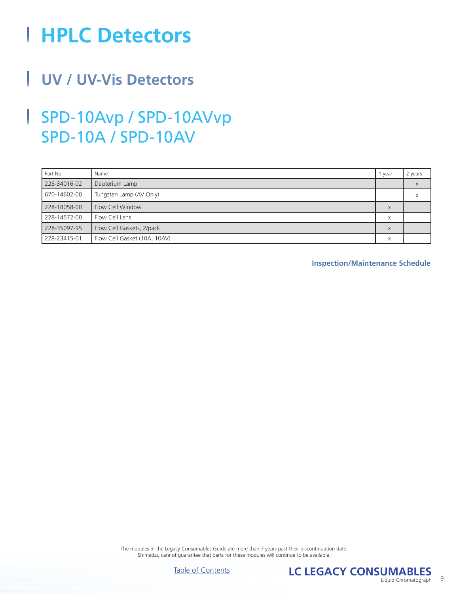# <span id="page-8-0"></span>**HPLC Detectors**

#### i. **UV / UV-Vis Detectors**

#### ļ SPD-10Avp / SPD-10AVvp SPD-10A / SPD-10AV

| Part No.     | Name                         | 1 year            | 2 years |
|--------------|------------------------------|-------------------|---------|
| 228-34016-02 | Deuterium Lamp               |                   |         |
| 670-14602-00 | Tungsten Lamp (AV Only)      |                   | х       |
| 228-18058-00 | Flow Cell Window             | X                 |         |
| 228-14572-00 | Flow Cell Lens               | $\checkmark$<br>A |         |
| 228-35097-95 | Flow Cell Gaskets, 2/pack    | X                 |         |
| 228-23415-01 | Flow Cell Gasket (10A, 10AV) | X                 |         |

**Inspection/Maintenance Schedule**



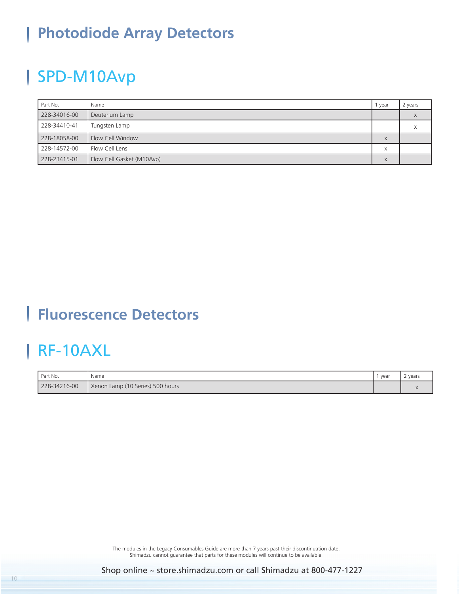#### <span id="page-9-0"></span>**Photodiode Array Detectors** ı

## SPD-M10Avp

| Part No.     | Name                      | year                | 2 years |
|--------------|---------------------------|---------------------|---------|
| 228-34016-00 | Deuterium Lamp            |                     |         |
| 228-34410-41 | Tungsten Lamp             |                     |         |
| 228-18058-00 | Flow Cell Window          | $\vee$<br>$\Lambda$ |         |
| 228-14572-00 | Flow Cell Lens            | $\checkmark$<br>∧   |         |
| 228-23415-01 | Flow Cell Gasket (M10Avp) | X                   |         |

### **Fluorescence Detectors**

### RF-10AXL

| Part No.     | Name                             | year | ' years |
|--------------|----------------------------------|------|---------|
| 228-34216-00 | Xenon Lamp (10 Series) 500 hours |      |         |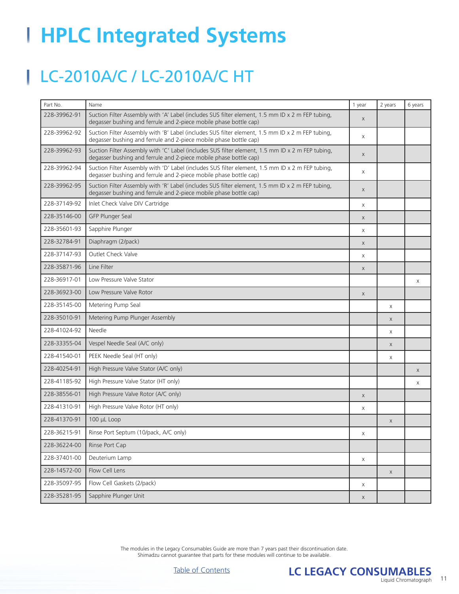# <span id="page-10-0"></span>**HPLC Integrated Systems**

## LC-2010A/C / LC-2010A/C HT

| Part No.     | Name                                                                                                                                                                  | 1 year       | 2 years  | 6 years |
|--------------|-----------------------------------------------------------------------------------------------------------------------------------------------------------------------|--------------|----------|---------|
| 228-39962-91 | Suction Filter Assembly with 'A' Label (includes SUS filter element, 1.5 mm ID x 2 m FEP tubing,<br>degasser bushing and ferrule and 2-piece mobile phase bottle cap) | $\mathsf{X}$ |          |         |
| 228-39962-92 | Suction Filter Assembly with 'B' Label (includes SUS filter element, 1.5 mm ID x 2 m FEP tubing,<br>degasser bushing and ferrule and 2-piece mobile phase bottle cap) | X            |          |         |
| 228-39962-93 | Suction Filter Assembly with 'C' Label (includes SUS filter element, 1.5 mm ID x 2 m FEP tubing,<br>degasser bushing and ferrule and 2-piece mobile phase bottle cap) | $\times$     |          |         |
| 228-39962-94 | Suction Filter Assembly with 'D' Label (includes SUS filter element, 1.5 mm ID x 2 m FEP tubing,<br>degasser bushing and ferrule and 2-piece mobile phase bottle cap) | X            |          |         |
| 228-39962-95 | Suction Filter Assembly with 'R' Label (includes SUS filter element, 1.5 mm ID x 2 m FEP tubing,<br>degasser bushing and ferrule and 2-piece mobile phase bottle cap) | X            |          |         |
| 228-37149-92 | Inlet Check Valve DIV Cartridge                                                                                                                                       | X            |          |         |
| 228-35146-00 | GFP Plunger Seal                                                                                                                                                      | X            |          |         |
| 228-35601-93 | Sapphire Plunger                                                                                                                                                      | X            |          |         |
| 228-32784-91 | Diaphragm (2/pack)                                                                                                                                                    | X            |          |         |
| 228-37147-93 | Outlet Check Valve                                                                                                                                                    | X            |          |         |
| 228-35871-96 | Line Filter                                                                                                                                                           | X            |          |         |
| 228-36917-01 | Low Pressure Valve Stator                                                                                                                                             |              |          | X       |
| 228-36923-00 | Low Pressure Valve Rotor                                                                                                                                              | $\mathsf X$  |          |         |
| 228-35145-00 | Metering Pump Seal                                                                                                                                                    |              | X        |         |
| 228-35010-91 | Metering Pump Plunger Assembly                                                                                                                                        |              | X        |         |
| 228-41024-92 | Needle                                                                                                                                                                |              | X        |         |
| 228-33355-04 | Vespel Needle Seal (A/C only)                                                                                                                                         |              | X        |         |
| 228-41540-01 | PEEK Needle Seal (HT only)                                                                                                                                            |              | X        |         |
| 228-40254-91 | High Pressure Valve Stator (A/C only)                                                                                                                                 |              |          | X       |
| 228-41185-92 | High Pressure Valve Stator (HT only)                                                                                                                                  |              |          | X       |
| 228-38556-01 | High Pressure Valve Rotor (A/C only)                                                                                                                                  | X            |          |         |
| 228-41310-91 | High Pressure Valve Rotor (HT only)                                                                                                                                   | X            |          |         |
| 228-41370-91 | 100 µL Loop                                                                                                                                                           |              | X        |         |
| 228-36215-91 | Rinse Port Septum (10/pack, A/C only)                                                                                                                                 | Χ            |          |         |
| 228-36224-00 | Rinse Port Cap                                                                                                                                                        |              |          |         |
| 228-37401-00 | Deuterium Lamp                                                                                                                                                        | X            |          |         |
| 228-14572-00 | Flow Cell Lens                                                                                                                                                        |              | $\times$ |         |
| 228-35097-95 | Flow Cell Gaskets (2/pack)                                                                                                                                            | X            |          |         |
| 228-35281-95 | Sapphire Plunger Unit                                                                                                                                                 | $\mathsf{X}$ |          |         |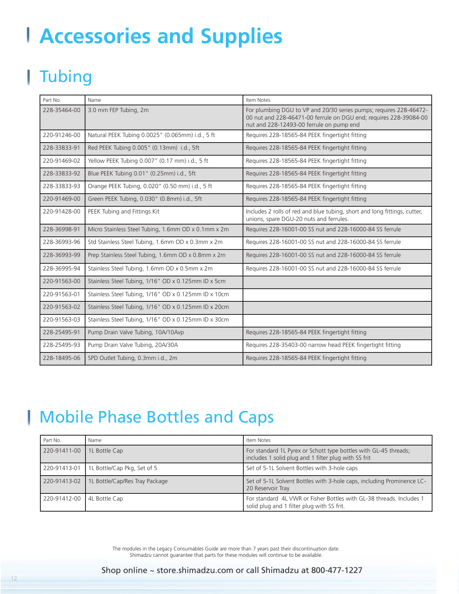# <span id="page-11-0"></span>**Accessories and Supplies**

# **Tubing**

l.

| Part No.     | Name                                                 | Item Notes                                                                                                                                                                          |
|--------------|------------------------------------------------------|-------------------------------------------------------------------------------------------------------------------------------------------------------------------------------------|
| 228-35464-00 | 3.0 mm FEP Tubing, 2m                                | For plumbing DGU to VP and 20/30 series pumps; requires 228-46472-<br>00 nut and 228-46471-00 ferrule on DGU end; requires 228-39084-00<br>nut and 228-12493-00 ferrule on pump end |
| 220-91246-00 | Natural PEEK Tubing 0.0025" (0.065mm) i.d., 5 ft     | Requires 228-18565-84 PEEK fingertight fitting                                                                                                                                      |
| 228-33833-91 | Red PEEK Tubing 0.005" (0.13mm) i.d., 5ft            | Requires 228-18565-84 PEEK fingertight fitting                                                                                                                                      |
| 220-91469-02 | Yellow PEEK Tubing 0.007" (0.17 mm) i.d., 5 ft       | Requires 228-18565-84 PEEK fingertight fitting                                                                                                                                      |
| 228-33833-92 | Blue PEEK Tubing 0.01" (0.25mm) i.d., 5ft            | Requires 228-18565-84 PEEK fingertight fitting                                                                                                                                      |
| 228-33833-93 | Orange PEEK Tubing, 0.020" (0.50 mm) i.d., 5 ft      | Requires 228-18565-84 PEEK fingertight fitting                                                                                                                                      |
| 220-91469-00 | Green PEEK Tubing, 0.030" (0.8mm) i.d., 5ft          | Requires 228-18565-84 PEEK fingertight fitting                                                                                                                                      |
| 220-91428-00 | PEEK Tubing and Fittings Kit                         | Includes 2 rolls of red and blue tubing, short and long fittings, cutter,<br>unions, spare DGU-20 nuts and ferrules.                                                                |
| 228-36998-91 | Micro Stainless Steel Tubing, 1.6mm OD x 0.1mm x 2m  | Requires 228-16001-00 SS nut and 228-16000-84 SS ferrule                                                                                                                            |
| 228-36993-96 | Std Stainless Steel Tubing, 1.6mm OD x 0.3mm x 2m    | Requires 228-16001-00 SS nut and 228-16000-84 SS ferrule                                                                                                                            |
| 228-36993-99 | Prep Stainless Steel Tubing, 1.6mm OD x 0.8mm x 2m   | Requires 228-16001-00 SS nut and 228-16000-84 SS ferrule                                                                                                                            |
| 228-36995-94 | Stainless Steel Tubing, 1.6mm OD x 0.5mm x 2m        | Requires 228-16001-00 SS nut and 228-16000-84 SS ferrule                                                                                                                            |
| 220-91563-00 | Stainless Steel Tubing, 1/16" OD x 0.125mm ID x 5cm  |                                                                                                                                                                                     |
| 220-91563-01 | Stainless Steel Tubing, 1/16" OD x 0.125mm ID x 10cm |                                                                                                                                                                                     |
| 220-91563-02 | Stainless Steel Tubing, 1/16" OD x 0.125mm ID x 20cm |                                                                                                                                                                                     |
| 220-91563-03 | Stainless Steel Tubing, 1/16" OD x 0.125mm ID x 30cm |                                                                                                                                                                                     |
| 228-25495-91 | Pump Drain Valve Tubing, 10A/10Avp                   | Requires 228-18565-84 PEEK fingertight fitting                                                                                                                                      |
| 228-25495-93 | Pump Drain Valve Tubing, 20A/30A                     | Requires 228-35403-00 narrow head PEEK fingertight fitting                                                                                                                          |
| 228-18495-06 | SPD Outlet Tubing, 0.3mm i.d., 2m                    | Requires 228-18565-84 PEEK fingertight fitting                                                                                                                                      |

### Mobile Phase Bottles and Caps

| Part No.     | Name                           | Item Notes                                                                                                               |
|--------------|--------------------------------|--------------------------------------------------------------------------------------------------------------------------|
| 220-91411-00 | 1L Bottle Cap                  | For standard 1L Pyrex or Schott type bottles with GL-45 threads;<br>includes 1 solid plug and 1 filter plug with SS frit |
| 220-91413-01 | 1L Bottle/Cap Pkg, Set of 5    | Set of 5-1L Solvent Bottles with 3-hole caps                                                                             |
| 220-91413-02 | 1L Bottle/Cap/Res Tray Package | Set of 5-1L Solvent Bottles with 3-hole caps, including Prominence LC-<br>20 Reservoir Tray                              |
| 220-91412-00 | 4L Bottle Cap                  | For standard 4L VWR or Fisher Bottles with GL-38 threads. Includes 1<br>solid plug and 1 filter plug with SS frit.       |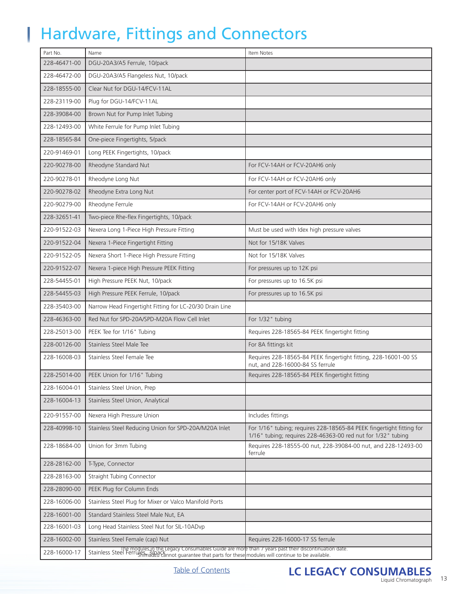## Hardware, Fittings and Connectors

<span id="page-12-0"></span>I

| Part No.     | Name                                                                                                                                                                                                              | Item Notes                                                                                                                           |
|--------------|-------------------------------------------------------------------------------------------------------------------------------------------------------------------------------------------------------------------|--------------------------------------------------------------------------------------------------------------------------------------|
| 228-46471-00 | DGU-20A3/A5 Ferrule, 10/pack                                                                                                                                                                                      |                                                                                                                                      |
| 228-46472-00 | DGU-20A3/A5 Flangeless Nut, 10/pack                                                                                                                                                                               |                                                                                                                                      |
| 228-18555-00 | Clear Nut for DGU-14/FCV-11AL                                                                                                                                                                                     |                                                                                                                                      |
| 228-23119-00 | Plug for DGU-14/FCV-11AL                                                                                                                                                                                          |                                                                                                                                      |
| 228-39084-00 | Brown Nut for Pump Inlet Tubing                                                                                                                                                                                   |                                                                                                                                      |
| 228-12493-00 | White Ferrule for Pump Inlet Tubing                                                                                                                                                                               |                                                                                                                                      |
| 228-18565-84 | One-piece Fingertights, 5/pack                                                                                                                                                                                    |                                                                                                                                      |
| 220-91469-01 | Long PEEK Fingertights, 10/pack                                                                                                                                                                                   |                                                                                                                                      |
| 220-90278-00 | Rheodyne Standard Nut                                                                                                                                                                                             | For FCV-14AH or FCV-20AH6 only                                                                                                       |
| 220-90278-01 | Rheodyne Long Nut                                                                                                                                                                                                 | For FCV-14AH or FCV-20AH6 only                                                                                                       |
| 220-90278-02 | Rheodyne Extra Long Nut                                                                                                                                                                                           | For center port of FCV-14AH or FCV-20AH6                                                                                             |
| 220-90279-00 | Rheodyne Ferrule                                                                                                                                                                                                  | For FCV-14AH or FCV-20AH6 only                                                                                                       |
| 228-32651-41 | Two-piece Rhe-flex Fingertights, 10/pack                                                                                                                                                                          |                                                                                                                                      |
| 220-91522-03 | Nexera Long 1-Piece High Pressure Fitting                                                                                                                                                                         | Must be used with Idex high pressure valves                                                                                          |
| 220-91522-04 | Nexera 1-Piece Fingertight Fitting                                                                                                                                                                                | Not for 15/18K Valves                                                                                                                |
| 220-91522-05 | Nexera Short 1-Piece High Pressure Fitting                                                                                                                                                                        | Not for 15/18K Valves                                                                                                                |
| 220-91522-07 | Nexera 1-piece High Pressure PEEK Fitting                                                                                                                                                                         | For pressures up to 12K psi                                                                                                          |
| 228-54455-01 | High Pressure PEEK Nut, 10/pack                                                                                                                                                                                   | For pressures up to 16.5K psi                                                                                                        |
| 228-54455-03 | High Pressure PEEK Ferrule, 10/pack                                                                                                                                                                               | For pressures up to 16.5K psi                                                                                                        |
| 228-35403-00 | Narrow Head Fingertight Fitting for LC-20/30 Drain Line                                                                                                                                                           |                                                                                                                                      |
| 228-46363-00 | Red Nut for SPD-20A/SPD-M20A Flow Cell Inlet                                                                                                                                                                      | For 1/32" tubing                                                                                                                     |
| 228-25013-00 | PEEK Tee for 1/16" Tubing                                                                                                                                                                                         | Requires 228-18565-84 PEEK fingertight fitting                                                                                       |
| 228-00126-00 | Stainless Steel Male Tee                                                                                                                                                                                          | For 8A fittings kit                                                                                                                  |
| 228-16008-03 | Stainless Steel Female Tee                                                                                                                                                                                        | Requires 228-18565-84 PEEK fingertight fitting, 228-16001-00 SS<br>nut, and 228-16000-84 SS ferrule                                  |
| 228-25014-00 | PEEK Union for 1/16" Tubing                                                                                                                                                                                       | Requires 228-18565-84 PEEK fingertight fitting                                                                                       |
| 228-16004-01 | Stainless Steel Union, Prep                                                                                                                                                                                       |                                                                                                                                      |
| 228-16004-13 | Stainless Steel Union, Analytical                                                                                                                                                                                 |                                                                                                                                      |
| 220-91557-00 | Nexera High Pressure Union                                                                                                                                                                                        | Includes fittings                                                                                                                    |
| 228-40998-10 | Stainless Steel Reducing Union for SPD-20A/M20A Inlet                                                                                                                                                             | For 1/16" tubing; requires 228-18565-84 PEEK fingertight fitting for<br>1/16" tubing; requires 228-46363-00 red nut for 1/32" tubing |
| 228-18684-00 | Union for 3mm Tubing                                                                                                                                                                                              | Requires 228-18555-00 nut, 228-39084-00 nut, and 228-12493-00<br>ferrule                                                             |
| 228-28162-00 | T-Type, Connector                                                                                                                                                                                                 |                                                                                                                                      |
| 228-28163-00 | Straight Tubing Connector                                                                                                                                                                                         |                                                                                                                                      |
| 228-28090-00 | PEEK Plug for Column Ends                                                                                                                                                                                         |                                                                                                                                      |
| 228-16006-00 | Stainless Steel Plug for Mixer or Valco Manifold Ports                                                                                                                                                            |                                                                                                                                      |
| 228-16001-00 | Standard Stainless Steel Male Nut, EA                                                                                                                                                                             |                                                                                                                                      |
| 228-16001-03 | Long Head Stainless Steel Nut for SIL-10ADvp                                                                                                                                                                      |                                                                                                                                      |
| 228-16002-00 | Stainless Steel Female (cap) Nut                                                                                                                                                                                  | Requires 228-16000-17 SS ferrule                                                                                                     |
| 228-16000-17 | The modules in the Legacy Consumables Guide are more than 7 years past their discontinuation date.<br>Stainless Steel Ferrush hadded cannot guarantee that parts for these modules will continue to be available. |                                                                                                                                      |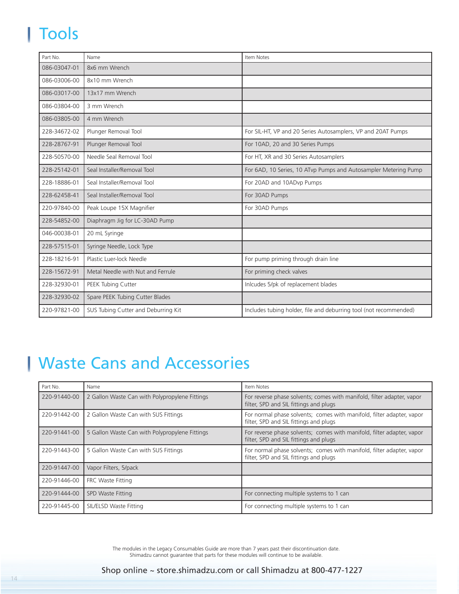# <span id="page-13-0"></span>Tools

| Part No.     | Name                                | Item Notes                                                        |
|--------------|-------------------------------------|-------------------------------------------------------------------|
| 086-03047-01 | 8x6 mm Wrench                       |                                                                   |
| 086-03006-00 | 8x10 mm Wrench                      |                                                                   |
| 086-03017-00 | 13x17 mm Wrench                     |                                                                   |
| 086-03804-00 | 3 mm Wrench                         |                                                                   |
| 086-03805-00 | 4 mm Wrench                         |                                                                   |
| 228-34672-02 | Plunger Removal Tool                | For SIL-HT, VP and 20 Series Autosamplers, VP and 20AT Pumps      |
| 228-28767-91 | Plunger Removal Tool                | For 10AD, 20 and 30 Series Pumps                                  |
| 228-50570-00 | Needle Seal Removal Tool            | For HT, XR and 30 Series Autosamplers                             |
| 228-25142-01 | Seal Installer/Removal Tool         | For 6AD, 10 Series, 10 ATvp Pumps and Autosampler Metering Pump   |
| 228-18886-01 | Seal Installer/Removal Tool         | For 20AD and 10ADvp Pumps                                         |
| 228-62458-41 | Seal Installer/Removal Tool         | For 30AD Pumps                                                    |
| 220-97840-00 | Peak Loupe 15X Magnifier            | For 30AD Pumps                                                    |
| 228-54852-00 | Diaphragm Jig for LC-30AD Pump      |                                                                   |
| 046-00038-01 | 20 mL Syringe                       |                                                                   |
| 228-57515-01 | Syringe Needle, Lock Type           |                                                                   |
| 228-18216-91 | Plastic Luer-lock Needle            | For pump priming through drain line                               |
| 228-15672-91 | Metal Needle with Nut and Ferrule   | For priming check valves                                          |
| 228-32930-01 | PEEK Tubing Cutter                  | Inlcudes 5/pk of replacement blades                               |
| 228-32930-02 | Spare PEEK Tubing Cutter Blades     |                                                                   |
| 220-97821-00 | SUS Tubing Cutter and Deburring Kit | Includes tubing holder, file and deburring tool (not recommended) |

## Waste Cans and Accessories

| Part No.     | Name                                           | Item Notes                                                                                                       |
|--------------|------------------------------------------------|------------------------------------------------------------------------------------------------------------------|
| 220-91440-00 | 2 Gallon Waste Can with Polypropylene Fittings | For reverse phase solvents; comes with manifold, filter adapter, vapor<br>filter, SPD and SIL fittings and plugs |
| 220-91442-00 | 2 Gallon Waste Can with SUS Fittings           | For normal phase solvents; comes with manifold, filter adapter, vapor<br>filter, SPD and SIL fittings and plugs  |
| 220-91441-00 | 5 Gallon Waste Can with Polypropylene Fittings | For reverse phase solvents; comes with manifold, filter adapter, vapor<br>filter, SPD and SIL fittings and plugs |
| 220-91443-00 | 5 Gallon Waste Can with SUS Fittings           | For normal phase solvents; comes with manifold, filter adapter, vapor<br>filter, SPD and SIL fittings and plugs  |
| 220-91447-00 | Vapor Filters, 5/pack                          |                                                                                                                  |
| 220-91446-00 | FRC Waste Fitting                              |                                                                                                                  |
| 220-91444-00 | SPD Waste Fitting                              | For connecting multiple systems to 1 can                                                                         |
| 220-91445-00 | SIL/ELSD Waste Fitting                         | For connecting multiple systems to 1 can                                                                         |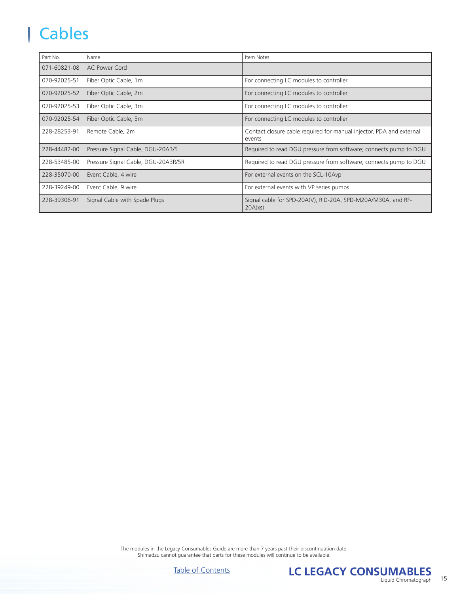#### <span id="page-14-0"></span>Cables I

| Part No.     | Name                                | Item Notes                                                                     |
|--------------|-------------------------------------|--------------------------------------------------------------------------------|
| 071-60821-08 | AC Power Cord                       |                                                                                |
| 070-92025-51 | Fiber Optic Cable, 1m               | For connecting LC modules to controller                                        |
| 070-92025-52 | Fiber Optic Cable, 2m               | For connecting LC modules to controller                                        |
| 070-92025-53 | Fiber Optic Cable, 3m               | For connecting LC modules to controller                                        |
| 070-92025-54 | Fiber Optic Cable, 5m               | For connecting LC modules to controller                                        |
| 228-28253-91 | Remote Cable, 2m                    | Contact closure cable required for manual injector, PDA and external<br>events |
| 228-44482-00 | Pressure Signal Cable, DGU-20A3/5   | Required to read DGU pressure from software; connects pump to DGU              |
| 228-53485-00 | Pressure Signal Cable, DGU-20A3R/5R | Required to read DGU pressure from software; connects pump to DGU              |
| 228-35070-00 | Event Cable, 4 wire                 | For external events on the SCL-10Avp                                           |
| 228-39249-00 | Event Cable, 9 wire                 | For external events with VP series pumps                                       |
| 228-39306-91 | Signal Cable with Spade Plugs       | Signal cable for SPD-20A(V), RID-20A, SPD-M20A/M30A, and RF-<br>20A(xs)        |